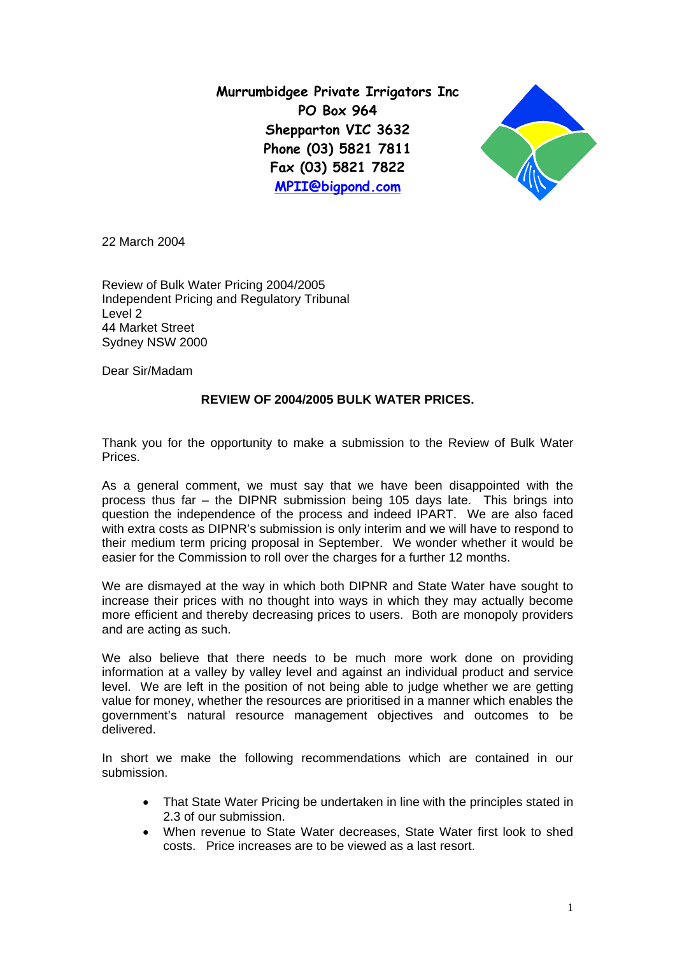**Murrumbidgee Private Irrigators Inc PO Box 964 Shepparton VIC 3632 Phone (03) 5821 7811 Fax (03) 5821 7822 [MPII@bigpond.com](mailto:MPII@bigpond.com)**



22 March 2004

Review of Bulk Water Pricing 2004/2005 Independent Pricing and Regulatory Tribunal Level 2 44 Market Street Sydney NSW 2000

Dear Sir/Madam

# **REVIEW OF 2004/2005 BULK WATER PRICES.**

Thank you for the opportunity to make a submission to the Review of Bulk Water Prices.

As a general comment, we must say that we have been disappointed with the process thus far – the DIPNR submission being 105 days late. This brings into question the independence of the process and indeed IPART. We are also faced with extra costs as DIPNR's submission is only interim and we will have to respond to their medium term pricing proposal in September. We wonder whether it would be easier for the Commission to roll over the charges for a further 12 months.

We are dismayed at the way in which both DIPNR and State Water have sought to increase their prices with no thought into ways in which they may actually become more efficient and thereby decreasing prices to users. Both are monopoly providers and are acting as such.

We also believe that there needs to be much more work done on providing information at a valley by valley level and against an individual product and service level. We are left in the position of not being able to judge whether we are getting value for money, whether the resources are prioritised in a manner which enables the government's natural resource management objectives and outcomes to be delivered.

In short we make the following recommendations which are contained in our submission.

- That State Water Pricing be undertaken in line with the principles stated in 2.3 of our submission.
- When revenue to State Water decreases, State Water first look to shed costs. Price increases are to be viewed as a last resort.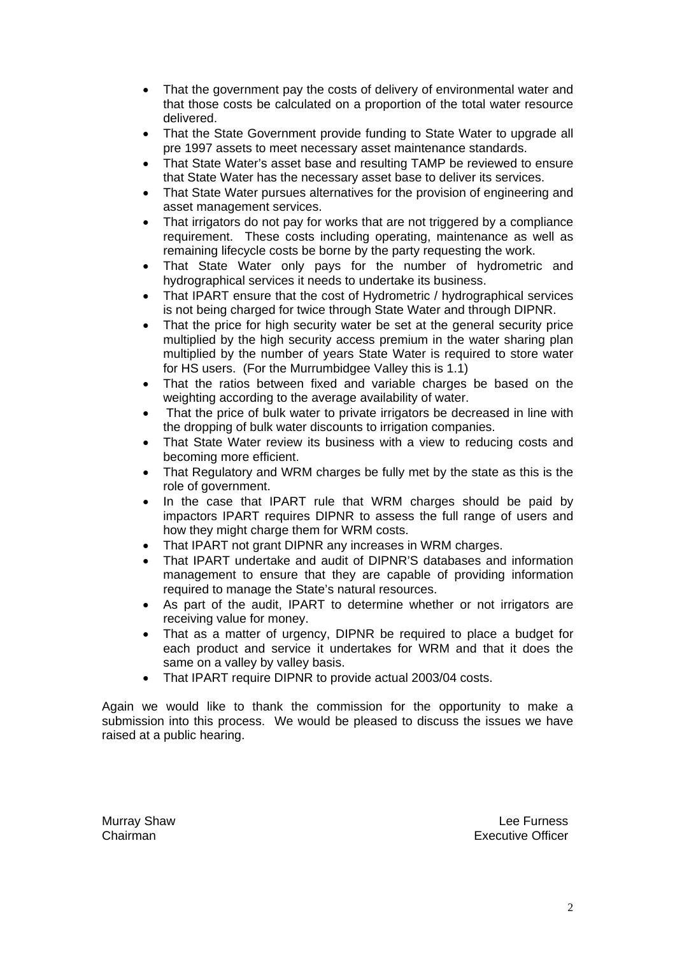- That the government pay the costs of delivery of environmental water and that those costs be calculated on a proportion of the total water resource delivered.
- That the State Government provide funding to State Water to upgrade all pre 1997 assets to meet necessary asset maintenance standards.
- That State Water's asset base and resulting TAMP be reviewed to ensure that State Water has the necessary asset base to deliver its services.
- That State Water pursues alternatives for the provision of engineering and asset management services.
- That irrigators do not pay for works that are not triggered by a compliance requirement. These costs including operating, maintenance as well as remaining lifecycle costs be borne by the party requesting the work.
- That State Water only pays for the number of hydrometric and hydrographical services it needs to undertake its business.
- That IPART ensure that the cost of Hydrometric / hydrographical services is not being charged for twice through State Water and through DIPNR.
- That the price for high security water be set at the general security price multiplied by the high security access premium in the water sharing plan multiplied by the number of years State Water is required to store water for HS users. (For the Murrumbidgee Valley this is 1.1)
- That the ratios between fixed and variable charges be based on the weighting according to the average availability of water.
- That the price of bulk water to private irrigators be decreased in line with the dropping of bulk water discounts to irrigation companies.
- That State Water review its business with a view to reducing costs and becoming more efficient.
- That Regulatory and WRM charges be fully met by the state as this is the role of government.
- In the case that IPART rule that WRM charges should be paid by impactors IPART requires DIPNR to assess the full range of users and how they might charge them for WRM costs.
- That IPART not grant DIPNR any increases in WRM charges.
- That IPART undertake and audit of DIPNR'S databases and information management to ensure that they are capable of providing information required to manage the State's natural resources.
- As part of the audit, IPART to determine whether or not irrigators are receiving value for money.
- That as a matter of urgency, DIPNR be required to place a budget for each product and service it undertakes for WRM and that it does the same on a valley by valley basis.
- That IPART require DIPNR to provide actual 2003/04 costs.

Again we would like to thank the commission for the opportunity to make a submission into this process. We would be pleased to discuss the issues we have raised at a public hearing.

Murray Shaw **Murray Shaw** Lee Furness **Chairman** Executive Officer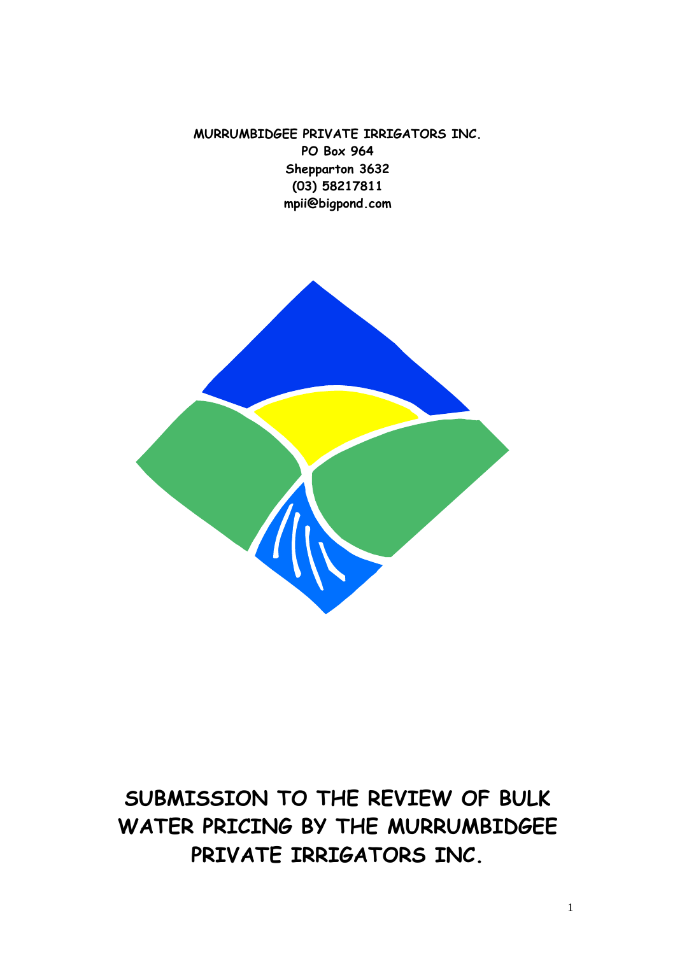**MURRUMBIDGEE PRIVATE IRRIGATORS INC. PO Box 964 Shepparton 3632 (03) 58217811 mpii@bigpond.com** 



# **SUBMISSION TO THE REVIEW OF BULK WATER PRICING BY THE MURRUMBIDGEE PRIVATE IRRIGATORS INC.**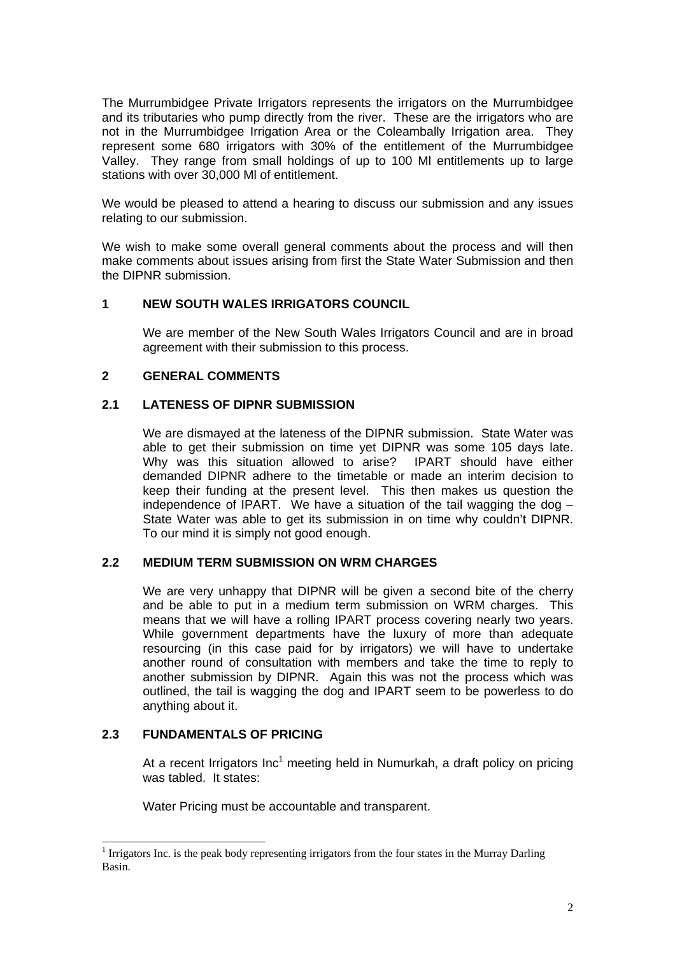The Murrumbidgee Private Irrigators represents the irrigators on the Murrumbidgee and its tributaries who pump directly from the river. These are the irrigators who are not in the Murrumbidgee Irrigation Area or the Coleambally Irrigation area. They represent some 680 irrigators with 30% of the entitlement of the Murrumbidgee Valley. They range from small holdings of up to 100 Ml entitlements up to large stations with over 30,000 Ml of entitlement.

We would be pleased to attend a hearing to discuss our submission and any issues relating to our submission.

We wish to make some overall general comments about the process and will then make comments about issues arising from first the State Water Submission and then the DIPNR submission.

## **1 NEW SOUTH WALES IRRIGATORS COUNCIL**

We are member of the New South Wales Irrigators Council and are in broad agreement with their submission to this process.

# **2 GENERAL COMMENTS**

## **2.1 LATENESS OF DIPNR SUBMISSION**

We are dismayed at the lateness of the DIPNR submission. State Water was able to get their submission on time yet DIPNR was some 105 days late. Why was this situation allowed to arise? IPART should have either demanded DIPNR adhere to the timetable or made an interim decision to keep their funding at the present level. This then makes us question the independence of IPART. We have a situation of the tail wagging the dog – State Water was able to get its submission in on time why couldn't DIPNR. To our mind it is simply not good enough.

## **2.2 MEDIUM TERM SUBMISSION ON WRM CHARGES**

We are very unhappy that DIPNR will be given a second bite of the cherry and be able to put in a medium term submission on WRM charges. This means that we will have a rolling IPART process covering nearly two years. While government departments have the luxury of more than adequate resourcing (in this case paid for by irrigators) we will have to undertake another round of consultation with members and take the time to reply to another submission by DIPNR. Again this was not the process which was outlined, the tail is wagging the dog and IPART seem to be powerless to do anything about it.

# **2.3 FUNDAMENTALS OF PRICING**

At a recent Irrigators Inc<sup>1</sup> meeting held in Numurkah, a draft policy on pricing was tabled. It states:

Water Pricing must be accountable and transparent.

<span id="page-3-0"></span> $\frac{1}{1}$  $<sup>1</sup>$  Irrigators Inc. is the peak body representing irrigators from the four states in the Murray Darling</sup> Basin.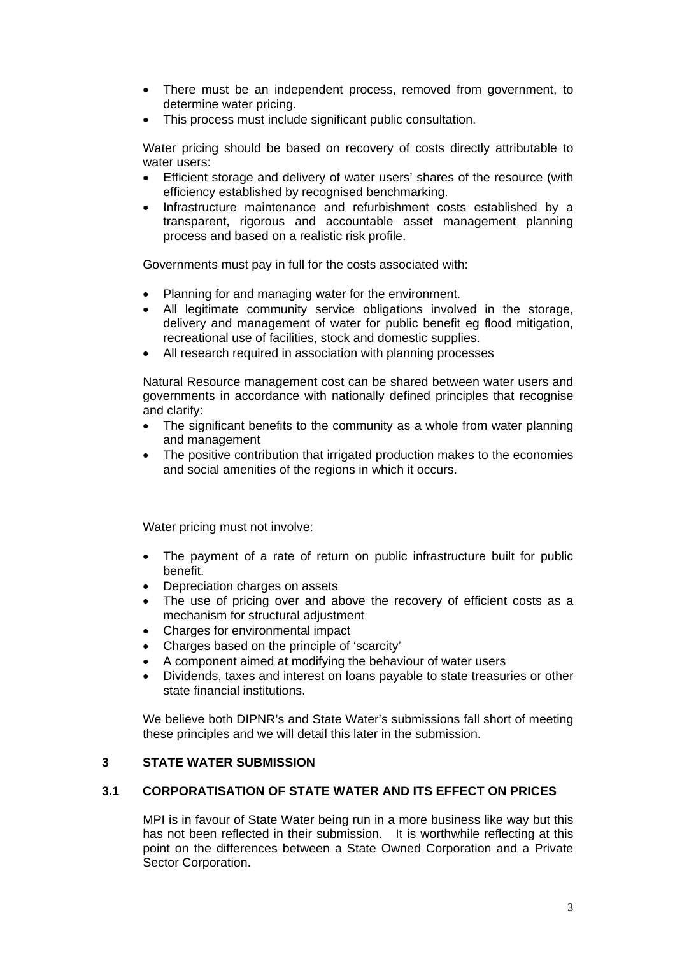- There must be an independent process, removed from government, to determine water pricing.
- This process must include significant public consultation.

Water pricing should be based on recovery of costs directly attributable to water users:

- Efficient storage and delivery of water users' shares of the resource (with efficiency established by recognised benchmarking.
- Infrastructure maintenance and refurbishment costs established by a transparent, rigorous and accountable asset management planning process and based on a realistic risk profile.

Governments must pay in full for the costs associated with:

- Planning for and managing water for the environment.
- All legitimate community service obligations involved in the storage, delivery and management of water for public benefit eg flood mitigation, recreational use of facilities, stock and domestic supplies.
- All research required in association with planning processes

Natural Resource management cost can be shared between water users and governments in accordance with nationally defined principles that recognise and clarify:

- The significant benefits to the community as a whole from water planning and management
- The positive contribution that irrigated production makes to the economies and social amenities of the regions in which it occurs.

Water pricing must not involve:

- The payment of a rate of return on public infrastructure built for public benefit.
- Depreciation charges on assets
- The use of pricing over and above the recovery of efficient costs as a mechanism for structural adjustment
- Charges for environmental impact
- Charges based on the principle of 'scarcity'
- A component aimed at modifying the behaviour of water users
- Dividends, taxes and interest on loans payable to state treasuries or other state financial institutions.

We believe both DIPNR's and State Water's submissions fall short of meeting these principles and we will detail this later in the submission.

# **3 STATE WATER SUBMISSION**

# **3.1 CORPORATISATION OF STATE WATER AND ITS EFFECT ON PRICES**

MPI is in favour of State Water being run in a more business like way but this has not been reflected in their submission. It is worthwhile reflecting at this point on the differences between a State Owned Corporation and a Private Sector Corporation.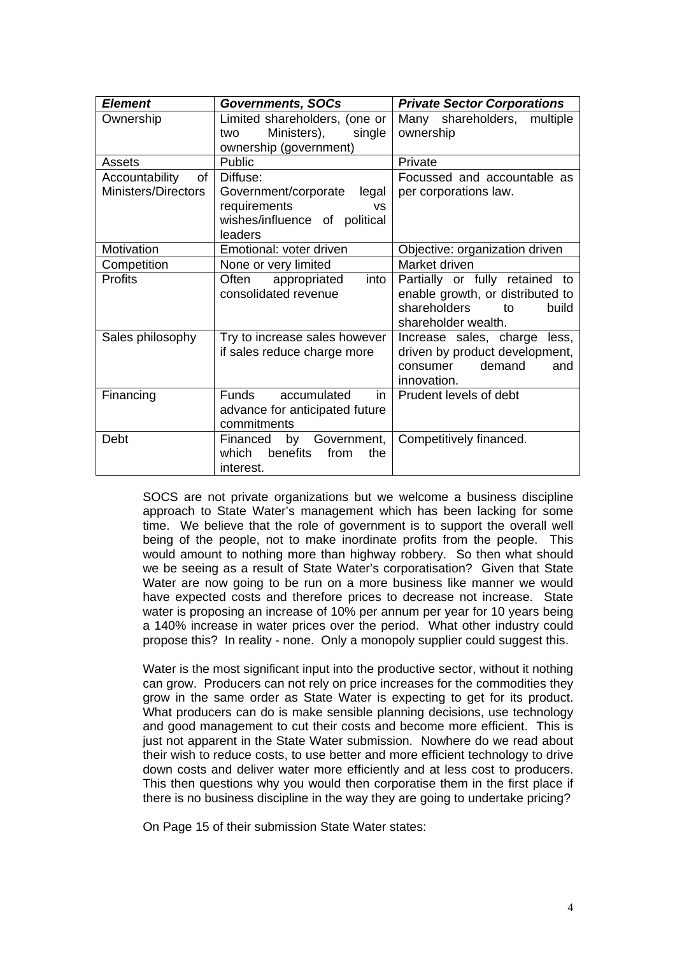| <b>Element</b>             | <b>Governments, SOCs</b>          | <b>Private Sector Corporations</b> |
|----------------------------|-----------------------------------|------------------------------------|
| Ownership                  | Limited shareholders, (one or     | Many shareholders, multiple        |
|                            | Ministers),<br>single<br>two      | ownership                          |
|                            | ownership (government)            |                                    |
| Assets                     | Public                            | Private                            |
| of<br>Accountability       | Diffuse:                          | Focussed and accountable as        |
| <b>Ministers/Directors</b> | legal<br>Government/corporate     | per corporations law.              |
|                            | requirements<br><b>VS</b>         |                                    |
|                            | wishes/influence of political     |                                    |
|                            | leaders                           |                                    |
| Motivation                 | Emotional: voter driven           | Objective: organization driven     |
| Competition                | None or very limited              | Market driven                      |
| <b>Profits</b>             | into<br>Often<br>appropriated     | Partially or fully retained to     |
|                            | consolidated revenue              | enable growth, or distributed to   |
|                            |                                   | shareholders<br>to<br>build        |
|                            |                                   | shareholder wealth.                |
| Sales philosophy           | Try to increase sales however     | Increase sales, charge less,       |
|                            | if sales reduce charge more       | driven by product development,     |
|                            |                                   | consumer demand<br>and             |
|                            |                                   | innovation.                        |
| Financing                  | <b>Funds</b><br>accumulated<br>in | Prudent levels of debt             |
|                            | advance for anticipated future    |                                    |
|                            | commitments                       |                                    |
| Debt                       | by Government,<br>Financed        | Competitively financed.            |
|                            | which<br>benefits<br>from<br>the  |                                    |
|                            | interest.                         |                                    |

SOCS are not private organizations but we welcome a business discipline approach to State Water's management which has been lacking for some time. We believe that the role of government is to support the overall well being of the people, not to make inordinate profits from the people. This would amount to nothing more than highway robbery. So then what should we be seeing as a result of State Water's corporatisation? Given that State Water are now going to be run on a more business like manner we would have expected costs and therefore prices to decrease not increase. State water is proposing an increase of 10% per annum per year for 10 years being a 140% increase in water prices over the period. What other industry could propose this? In reality - none. Only a monopoly supplier could suggest this.

Water is the most significant input into the productive sector, without it nothing can grow. Producers can not rely on price increases for the commodities they grow in the same order as State Water is expecting to get for its product. What producers can do is make sensible planning decisions, use technology and good management to cut their costs and become more efficient. This is just not apparent in the State Water submission. Nowhere do we read about their wish to reduce costs, to use better and more efficient technology to drive down costs and deliver water more efficiently and at less cost to producers. This then questions why you would then corporatise them in the first place if there is no business discipline in the way they are going to undertake pricing?

On Page 15 of their submission State Water states: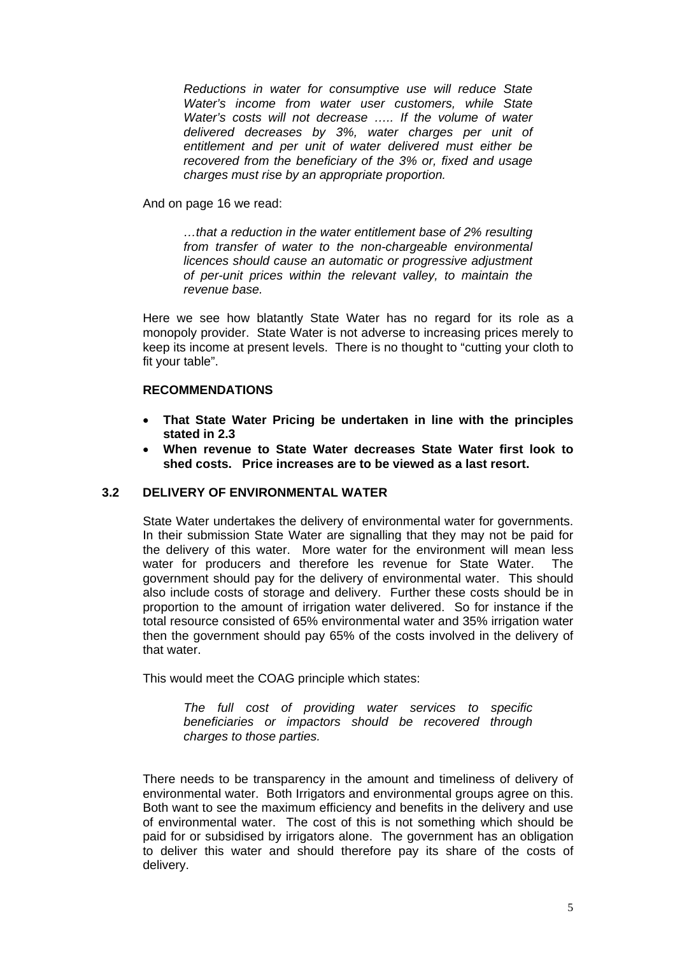*Reductions in water for consumptive use will reduce State Water's income from water user customers, while State Water's costs will not decrease ….. If the volume of water delivered decreases by 3%, water charges per unit of entitlement and per unit of water delivered must either be recovered from the beneficiary of the 3% or, fixed and usage charges must rise by an appropriate proportion.*

And on page 16 we read:

*…that a reduction in the water entitlement base of 2% resulting from transfer of water to the non-chargeable environmental licences should cause an automatic or progressive adjustment of per-unit prices within the relevant valley, to maintain the revenue base.* 

Here we see how blatantly State Water has no regard for its role as a monopoly provider. State Water is not adverse to increasing prices merely to keep its income at present levels. There is no thought to "cutting your cloth to fit your table".

# **RECOMMENDATIONS**

- **That State Water Pricing be undertaken in line with the principles stated in 2.3**
- **When revenue to State Water decreases State Water first look to shed costs. Price increases are to be viewed as a last resort.**

# **3.2 DELIVERY OF ENVIRONMENTAL WATER**

State Water undertakes the delivery of environmental water for governments. In their submission State Water are signalling that they may not be paid for the delivery of this water. More water for the environment will mean less water for producers and therefore les revenue for State Water. The government should pay for the delivery of environmental water. This should also include costs of storage and delivery. Further these costs should be in proportion to the amount of irrigation water delivered. So for instance if the total resource consisted of 65% environmental water and 35% irrigation water then the government should pay 65% of the costs involved in the delivery of that water.

This would meet the COAG principle which states:

*The full cost of providing water services to specific beneficiaries or impactors should be recovered through charges to those parties.* 

There needs to be transparency in the amount and timeliness of delivery of environmental water. Both Irrigators and environmental groups agree on this. Both want to see the maximum efficiency and benefits in the delivery and use of environmental water. The cost of this is not something which should be paid for or subsidised by irrigators alone. The government has an obligation to deliver this water and should therefore pay its share of the costs of delivery.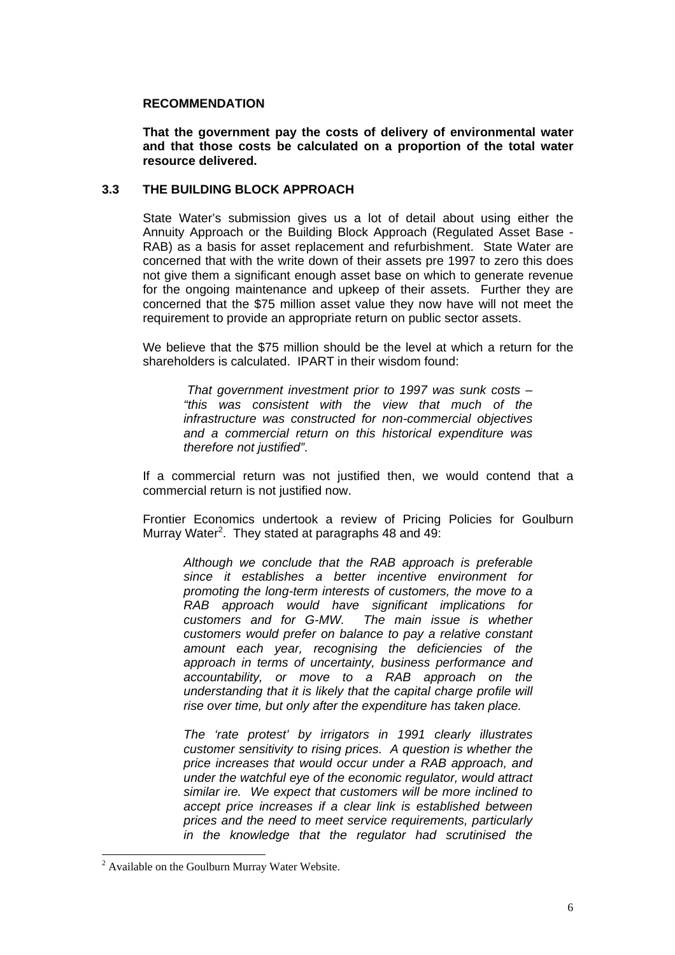#### **RECOMMENDATION**

**That the government pay the costs of delivery of environmental water and that those costs be calculated on a proportion of the total water resource delivered.** 

## **3.3 THE BUILDING BLOCK APPROACH**

State Water's submission gives us a lot of detail about using either the Annuity Approach or the Building Block Approach (Regulated Asset Base - RAB) as a basis for asset replacement and refurbishment. State Water are concerned that with the write down of their assets pre 1997 to zero this does not give them a significant enough asset base on which to generate revenue for the ongoing maintenance and upkeep of their assets. Further they are concerned that the \$75 million asset value they now have will not meet the requirement to provide an appropriate return on public sector assets.

We believe that the \$75 million should be the level at which a return for the shareholders is calculated. IPART in their wisdom found:

*That government investment prior to 1997 was sunk costs – "this was consistent with the view that much of the infrastructure was constructed for non-commercial objectives and a commercial return on this historical expenditure was therefore not justified"*.

If a commercial return was not justified then, we would contend that a commercial return is not justified now.

Frontier Economics undertook a review of Pricing Policies for Goulburn Murray Water<sup>[2](#page-7-0)</sup>. They stated at paragraphs 48 and 49:

*Although we conclude that the RAB approach is preferable since it establishes a better incentive environment for promoting the long-term interests of customers, the move to a RAB approach would have significant implications for customers and for G-MW. The main issue is whether customers would prefer on balance to pay a relative constant amount each year, recognising the deficiencies of the approach in terms of uncertainty, business performance and accountability, or move to a RAB approach on the understanding that it is likely that the capital charge profile will rise over time, but only after the expenditure has taken place.*

*The 'rate protest' by irrigators in 1991 clearly illustrates customer sensitivity to rising prices. A question is whether the price increases that would occur under a RAB approach, and under the watchful eye of the economic regulator, would attract similar ire. We expect that customers will be more inclined to accept price increases if a clear link is established between prices and the need to meet service requirements, particularly in the knowledge that the regulator had scrutinised the*

<span id="page-7-0"></span> $2$  Available on the Goulburn Murray Water Website.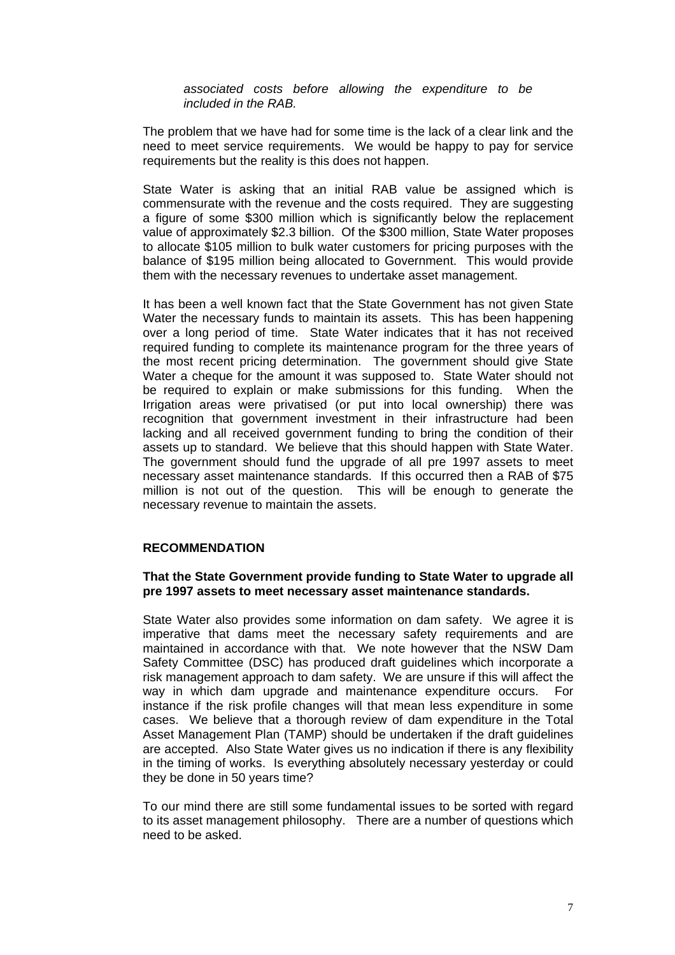*associated costs before allowing the expenditure to be included in the RAB.*

The problem that we have had for some time is the lack of a clear link and the need to meet service requirements. We would be happy to pay for service requirements but the reality is this does not happen.

State Water is asking that an initial RAB value be assigned which is commensurate with the revenue and the costs required. They are suggesting a figure of some \$300 million which is significantly below the replacement value of approximately \$2.3 billion. Of the \$300 million, State Water proposes to allocate \$105 million to bulk water customers for pricing purposes with the balance of \$195 million being allocated to Government. This would provide them with the necessary revenues to undertake asset management.

It has been a well known fact that the State Government has not given State Water the necessary funds to maintain its assets. This has been happening over a long period of time. State Water indicates that it has not received required funding to complete its maintenance program for the three years of the most recent pricing determination. The government should give State Water a cheque for the amount it was supposed to. State Water should not be required to explain or make submissions for this funding. When the Irrigation areas were privatised (or put into local ownership) there was recognition that government investment in their infrastructure had been lacking and all received government funding to bring the condition of their assets up to standard. We believe that this should happen with State Water. The government should fund the upgrade of all pre 1997 assets to meet necessary asset maintenance standards. If this occurred then a RAB of \$75 million is not out of the question. This will be enough to generate the necessary revenue to maintain the assets.

#### **RECOMMENDATION**

#### **That the State Government provide funding to State Water to upgrade all pre 1997 assets to meet necessary asset maintenance standards.**

State Water also provides some information on dam safety. We agree it is imperative that dams meet the necessary safety requirements and are maintained in accordance with that. We note however that the NSW Dam Safety Committee (DSC) has produced draft guidelines which incorporate a risk management approach to dam safety. We are unsure if this will affect the way in which dam upgrade and maintenance expenditure occurs. For instance if the risk profile changes will that mean less expenditure in some cases. We believe that a thorough review of dam expenditure in the Total Asset Management Plan (TAMP) should be undertaken if the draft guidelines are accepted. Also State Water gives us no indication if there is any flexibility in the timing of works. Is everything absolutely necessary yesterday or could they be done in 50 years time?

To our mind there are still some fundamental issues to be sorted with regard to its asset management philosophy. There are a number of questions which need to be asked.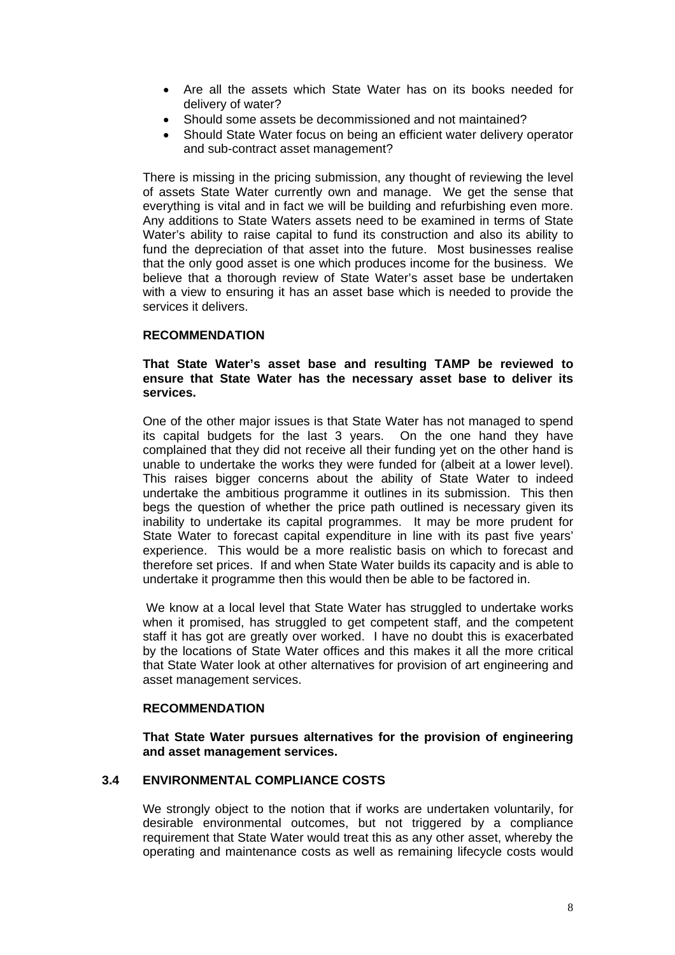- Are all the assets which State Water has on its books needed for delivery of water?
- Should some assets be decommissioned and not maintained?
- Should State Water focus on being an efficient water delivery operator and sub-contract asset management?

There is missing in the pricing submission, any thought of reviewing the level of assets State Water currently own and manage. We get the sense that everything is vital and in fact we will be building and refurbishing even more. Any additions to State Waters assets need to be examined in terms of State Water's ability to raise capital to fund its construction and also its ability to fund the depreciation of that asset into the future. Most businesses realise that the only good asset is one which produces income for the business. We believe that a thorough review of State Water's asset base be undertaken with a view to ensuring it has an asset base which is needed to provide the services it delivers.

## **RECOMMENDATION**

## **That State Water's asset base and resulting TAMP be reviewed to ensure that State Water has the necessary asset base to deliver its services.**

One of the other major issues is that State Water has not managed to spend its capital budgets for the last 3 years. On the one hand they have complained that they did not receive all their funding yet on the other hand is unable to undertake the works they were funded for (albeit at a lower level). This raises bigger concerns about the ability of State Water to indeed undertake the ambitious programme it outlines in its submission. This then begs the question of whether the price path outlined is necessary given its inability to undertake its capital programmes. It may be more prudent for State Water to forecast capital expenditure in line with its past five years' experience. This would be a more realistic basis on which to forecast and therefore set prices. If and when State Water builds its capacity and is able to undertake it programme then this would then be able to be factored in.

We know at a local level that State Water has struggled to undertake works when it promised, has struggled to get competent staff, and the competent staff it has got are greatly over worked. I have no doubt this is exacerbated by the locations of State Water offices and this makes it all the more critical that State Water look at other alternatives for provision of art engineering and asset management services.

#### **RECOMMENDATION**

**That State Water pursues alternatives for the provision of engineering and asset management services.** 

# **3.4 ENVIRONMENTAL COMPLIANCE COSTS**

We strongly object to the notion that if works are undertaken voluntarily, for desirable environmental outcomes, but not triggered by a compliance requirement that State Water would treat this as any other asset, whereby the operating and maintenance costs as well as remaining lifecycle costs would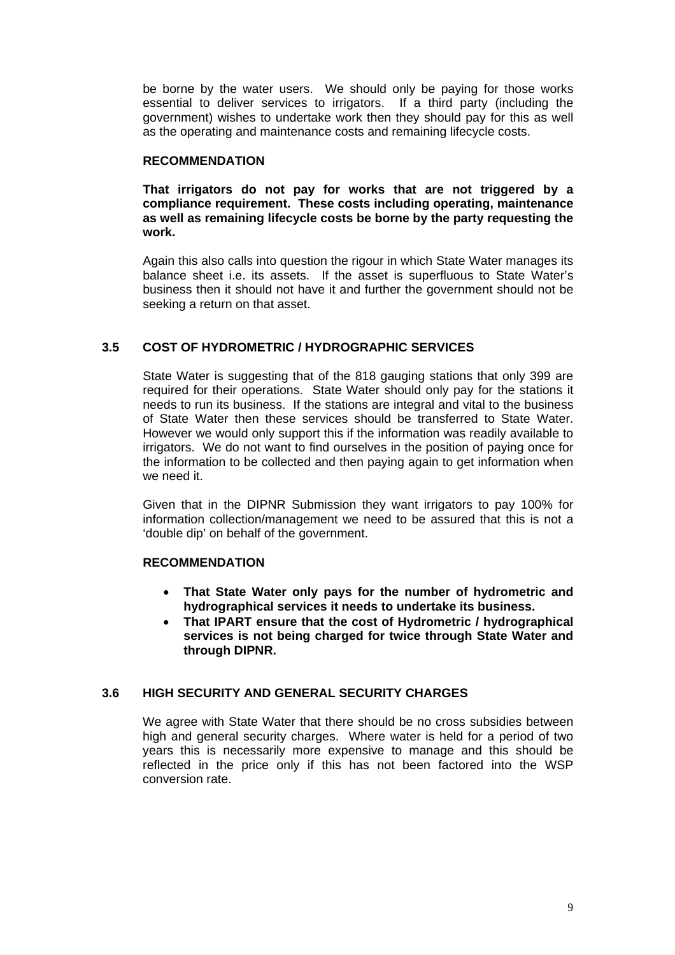be borne by the water users. We should only be paying for those works essential to deliver services to irrigators. If a third party (including the government) wishes to undertake work then they should pay for this as well as the operating and maintenance costs and remaining lifecycle costs.

## **RECOMMENDATION**

**That irrigators do not pay for works that are not triggered by a compliance requirement. These costs including operating, maintenance as well as remaining lifecycle costs be borne by the party requesting the work.**

Again this also calls into question the rigour in which State Water manages its balance sheet i.e. its assets. If the asset is superfluous to State Water's business then it should not have it and further the government should not be seeking a return on that asset.

# **3.5 COST OF HYDROMETRIC / HYDROGRAPHIC SERVICES**

State Water is suggesting that of the 818 gauging stations that only 399 are required for their operations. State Water should only pay for the stations it needs to run its business. If the stations are integral and vital to the business of State Water then these services should be transferred to State Water. However we would only support this if the information was readily available to irrigators. We do not want to find ourselves in the position of paying once for the information to be collected and then paying again to get information when we need it.

Given that in the DIPNR Submission they want irrigators to pay 100% for information collection/management we need to be assured that this is not a 'double dip' on behalf of the government.

#### **RECOMMENDATION**

- **That State Water only pays for the number of hydrometric and hydrographical services it needs to undertake its business.**
- **That IPART ensure that the cost of Hydrometric / hydrographical services is not being charged for twice through State Water and through DIPNR.**

# **3.6 HIGH SECURITY AND GENERAL SECURITY CHARGES**

We agree with State Water that there should be no cross subsidies between high and general security charges. Where water is held for a period of two years this is necessarily more expensive to manage and this should be reflected in the price only if this has not been factored into the WSP conversion rate.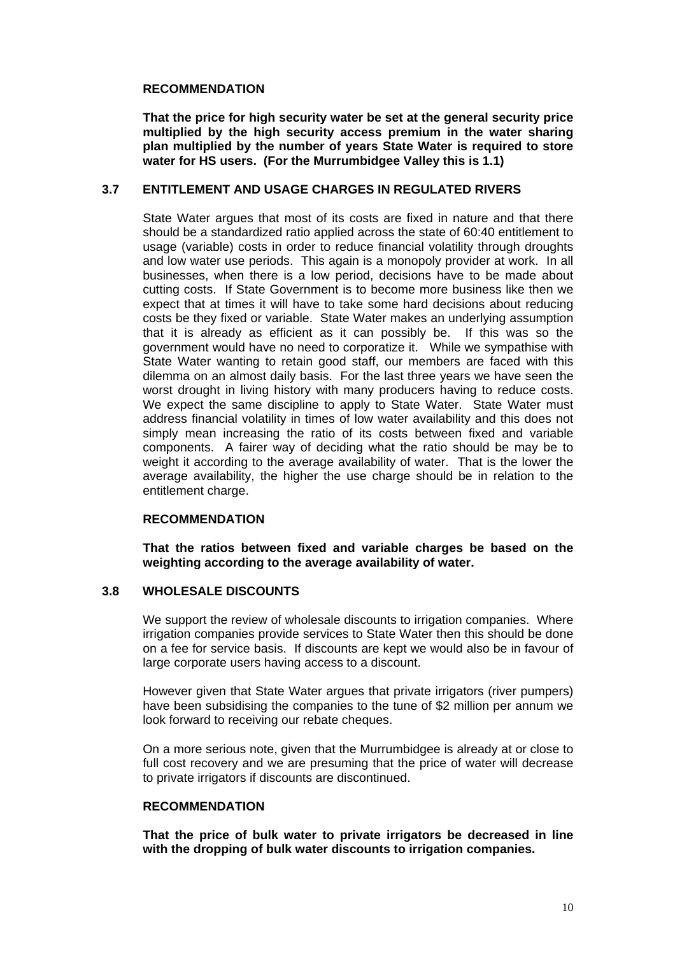## **RECOMMENDATION**

**That the price for high security water be set at the general security price multiplied by the high security access premium in the water sharing plan multiplied by the number of years State Water is required to store water for HS users. (For the Murrumbidgee Valley this is 1.1)** 

## **3.7 ENTITLEMENT AND USAGE CHARGES IN REGULATED RIVERS**

State Water argues that most of its costs are fixed in nature and that there should be a standardized ratio applied across the state of 60:40 entitlement to usage (variable) costs in order to reduce financial volatility through droughts and low water use periods. This again is a monopoly provider at work. In all businesses, when there is a low period, decisions have to be made about cutting costs. If State Government is to become more business like then we expect that at times it will have to take some hard decisions about reducing costs be they fixed or variable. State Water makes an underlying assumption that it is already as efficient as it can possibly be. If this was so the government would have no need to corporatize it. While we sympathise with State Water wanting to retain good staff, our members are faced with this dilemma on an almost daily basis. For the last three years we have seen the worst drought in living history with many producers having to reduce costs. We expect the same discipline to apply to State Water. State Water must address financial volatility in times of low water availability and this does not simply mean increasing the ratio of its costs between fixed and variable components. A fairer way of deciding what the ratio should be may be to weight it according to the average availability of water. That is the lower the average availability, the higher the use charge should be in relation to the entitlement charge.

#### **RECOMMENDATION**

**That the ratios between fixed and variable charges be based on the weighting according to the average availability of water.** 

# **3.8 WHOLESALE DISCOUNTS**

We support the review of wholesale discounts to irrigation companies. Where irrigation companies provide services to State Water then this should be done on a fee for service basis. If discounts are kept we would also be in favour of large corporate users having access to a discount.

However given that State Water argues that private irrigators (river pumpers) have been subsidising the companies to the tune of \$2 million per annum we look forward to receiving our rebate cheques.

On a more serious note, given that the Murrumbidgee is already at or close to full cost recovery and we are presuming that the price of water will decrease to private irrigators if discounts are discontinued.

# **RECOMMENDATION**

**That the price of bulk water to private irrigators be decreased in line with the dropping of bulk water discounts to irrigation companies.**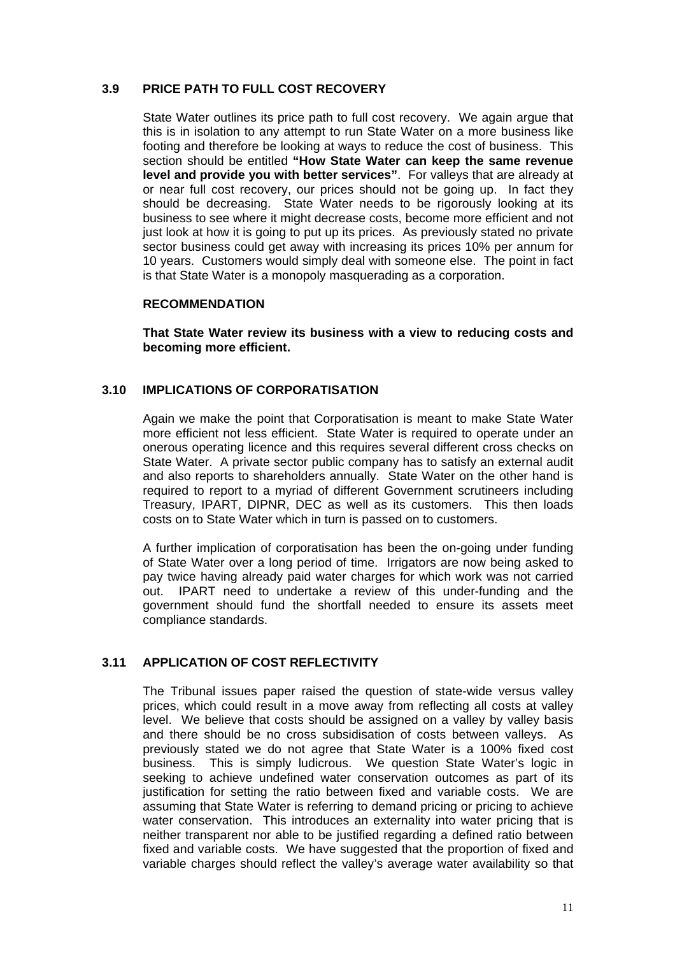## **3.9 PRICE PATH TO FULL COST RECOVERY**

State Water outlines its price path to full cost recovery. We again argue that this is in isolation to any attempt to run State Water on a more business like footing and therefore be looking at ways to reduce the cost of business. This section should be entitled **"How State Water can keep the same revenue level and provide you with better services"**. For valleys that are already at or near full cost recovery, our prices should not be going up. In fact they should be decreasing. State Water needs to be rigorously looking at its business to see where it might decrease costs, become more efficient and not just look at how it is going to put up its prices. As previously stated no private sector business could get away with increasing its prices 10% per annum for 10 years. Customers would simply deal with someone else. The point in fact is that State Water is a monopoly masquerading as a corporation.

#### **RECOMMENDATION**

**That State Water review its business with a view to reducing costs and becoming more efficient.**

# **3.10 IMPLICATIONS OF CORPORATISATION**

Again we make the point that Corporatisation is meant to make State Water more efficient not less efficient. State Water is required to operate under an onerous operating licence and this requires several different cross checks on State Water. A private sector public company has to satisfy an external audit and also reports to shareholders annually. State Water on the other hand is required to report to a myriad of different Government scrutineers including Treasury, IPART, DIPNR, DEC as well as its customers. This then loads costs on to State Water which in turn is passed on to customers.

A further implication of corporatisation has been the on-going under funding of State Water over a long period of time. Irrigators are now being asked to pay twice having already paid water charges for which work was not carried out. IPART need to undertake a review of this under-funding and the government should fund the shortfall needed to ensure its assets meet compliance standards.

# **3.11 APPLICATION OF COST REFLECTIVITY**

The Tribunal issues paper raised the question of state-wide versus valley prices, which could result in a move away from reflecting all costs at valley level. We believe that costs should be assigned on a valley by valley basis and there should be no cross subsidisation of costs between valleys. As previously stated we do not agree that State Water is a 100% fixed cost business. This is simply ludicrous. We question State Water's logic in seeking to achieve undefined water conservation outcomes as part of its justification for setting the ratio between fixed and variable costs. We are assuming that State Water is referring to demand pricing or pricing to achieve water conservation. This introduces an externality into water pricing that is neither transparent nor able to be justified regarding a defined ratio between fixed and variable costs. We have suggested that the proportion of fixed and variable charges should reflect the valley's average water availability so that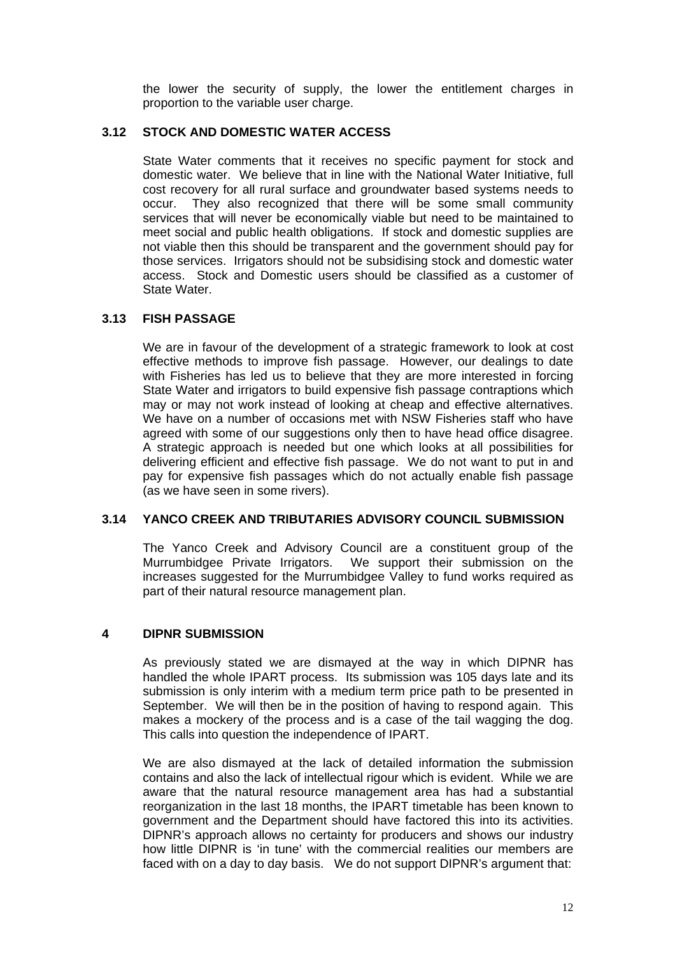the lower the security of supply, the lower the entitlement charges in proportion to the variable user charge.

# **3.12 STOCK AND DOMESTIC WATER ACCESS**

State Water comments that it receives no specific payment for stock and domestic water. We believe that in line with the National Water Initiative, full cost recovery for all rural surface and groundwater based systems needs to occur. They also recognized that there will be some small community services that will never be economically viable but need to be maintained to meet social and public health obligations. If stock and domestic supplies are not viable then this should be transparent and the government should pay for those services. Irrigators should not be subsidising stock and domestic water access. Stock and Domestic users should be classified as a customer of State Water.

## **3.13 FISH PASSAGE**

We are in favour of the development of a strategic framework to look at cost effective methods to improve fish passage. However, our dealings to date with Fisheries has led us to believe that they are more interested in forcing State Water and irrigators to build expensive fish passage contraptions which may or may not work instead of looking at cheap and effective alternatives. We have on a number of occasions met with NSW Fisheries staff who have agreed with some of our suggestions only then to have head office disagree. A strategic approach is needed but one which looks at all possibilities for delivering efficient and effective fish passage. We do not want to put in and pay for expensive fish passages which do not actually enable fish passage (as we have seen in some rivers).

#### **3.14 YANCO CREEK AND TRIBUTARIES ADVISORY COUNCIL SUBMISSION**

The Yanco Creek and Advisory Council are a constituent group of the Murrumbidgee Private Irrigators. We support their submission on the increases suggested for the Murrumbidgee Valley to fund works required as part of their natural resource management plan.

# **4 DIPNR SUBMISSION**

As previously stated we are dismayed at the way in which DIPNR has handled the whole IPART process. Its submission was 105 days late and its submission is only interim with a medium term price path to be presented in September. We will then be in the position of having to respond again. This makes a mockery of the process and is a case of the tail wagging the dog. This calls into question the independence of IPART.

We are also dismayed at the lack of detailed information the submission contains and also the lack of intellectual rigour which is evident. While we are aware that the natural resource management area has had a substantial reorganization in the last 18 months, the IPART timetable has been known to government and the Department should have factored this into its activities. DIPNR's approach allows no certainty for producers and shows our industry how little DIPNR is 'in tune' with the commercial realities our members are faced with on a day to day basis. We do not support DIPNR's argument that: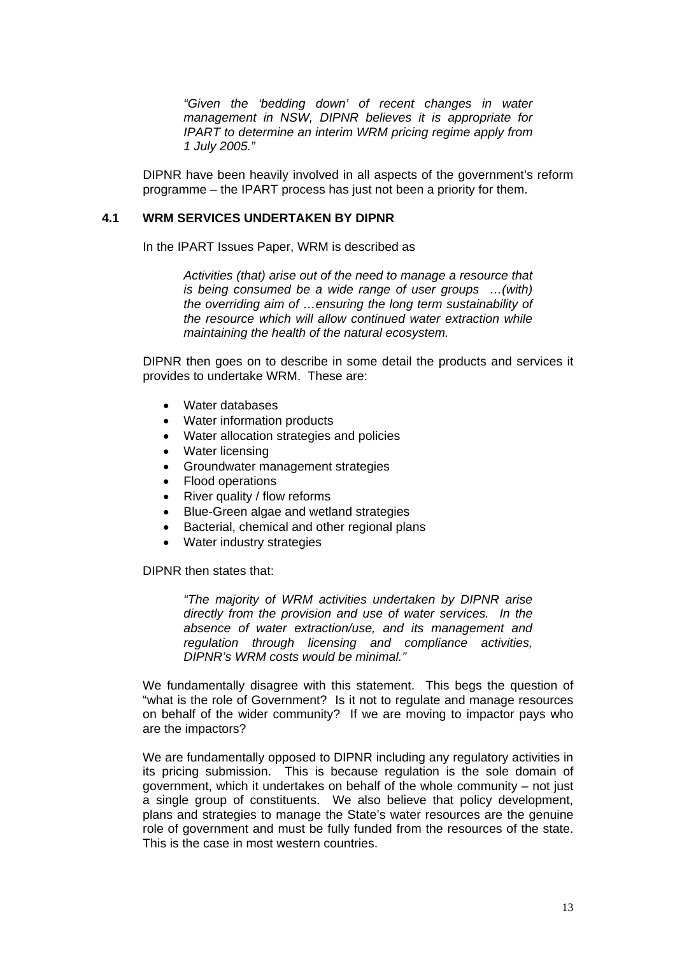*"Given the 'bedding down' of recent changes in water management in NSW, DIPNR believes it is appropriate for IPART to determine an interim WRM pricing regime apply from 1 July 2005."*

DIPNR have been heavily involved in all aspects of the government's reform programme – the IPART process has just not been a priority for them.

#### **4.1 WRM SERVICES UNDERTAKEN BY DIPNR**

In the IPART Issues Paper, WRM is described as

*Activities (that) arise out of the need to manage a resource that is being consumed be a wide range of user groups …(with) the overriding aim of …ensuring the long term sustainability of the resource which will allow continued water extraction while maintaining the health of the natural ecosystem.* 

DIPNR then goes on to describe in some detail the products and services it provides to undertake WRM. These are:

- Water databases
- Water information products
- Water allocation strategies and policies
- Water licensing
- Groundwater management strategies
- Flood operations
- River quality / flow reforms
- Blue-Green algae and wetland strategies
- Bacterial, chemical and other regional plans
- Water industry strategies

DIPNR then states that:

*"The majority of WRM activities undertaken by DIPNR arise directly from the provision and use of water services. In the absence of water extraction/use, and its management and regulation through licensing and compliance activities, DIPNR's WRM costs would be minimal."*

We fundamentally disagree with this statement. This begs the question of "what is the role of Government? Is it not to regulate and manage resources on behalf of the wider community? If we are moving to impactor pays who are the impactors?

We are fundamentally opposed to DIPNR including any regulatory activities in its pricing submission. This is because regulation is the sole domain of government, which it undertakes on behalf of the whole community – not just a single group of constituents. We also believe that policy development, plans and strategies to manage the State's water resources are the genuine role of government and must be fully funded from the resources of the state. This is the case in most western countries.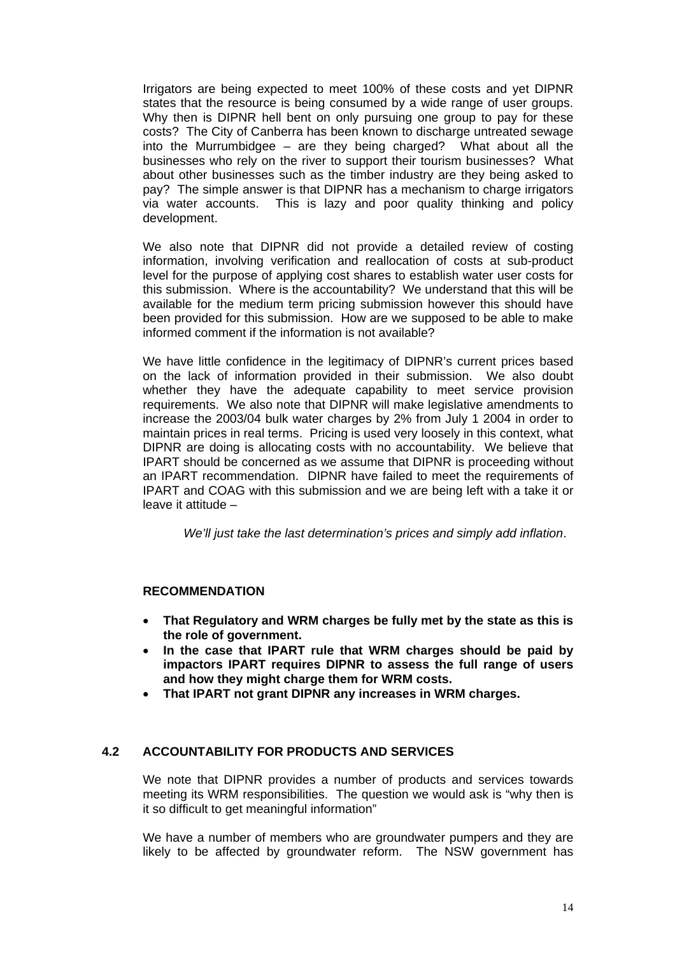Irrigators are being expected to meet 100% of these costs and yet DIPNR states that the resource is being consumed by a wide range of user groups. Why then is DIPNR hell bent on only pursuing one group to pay for these costs? The City of Canberra has been known to discharge untreated sewage into the Murrumbidgee – are they being charged? What about all the businesses who rely on the river to support their tourism businesses? What about other businesses such as the timber industry are they being asked to pay? The simple answer is that DIPNR has a mechanism to charge irrigators via water accounts. This is lazy and poor quality thinking and policy development.

We also note that DIPNR did not provide a detailed review of costing information, involving verification and reallocation of costs at sub-product level for the purpose of applying cost shares to establish water user costs for this submission. Where is the accountability? We understand that this will be available for the medium term pricing submission however this should have been provided for this submission. How are we supposed to be able to make informed comment if the information is not available?

We have little confidence in the legitimacy of DIPNR's current prices based on the lack of information provided in their submission. We also doubt whether they have the adequate capability to meet service provision requirements. We also note that DIPNR will make legislative amendments to increase the 2003/04 bulk water charges by 2% from July 1 2004 in order to maintain prices in real terms. Pricing is used very loosely in this context, what DIPNR are doing is allocating costs with no accountability. We believe that IPART should be concerned as we assume that DIPNR is proceeding without an IPART recommendation. DIPNR have failed to meet the requirements of IPART and COAG with this submission and we are being left with a take it or leave it attitude –

*We'll just take the last determination's prices and simply add inflation*.

# **RECOMMENDATION**

- **That Regulatory and WRM charges be fully met by the state as this is the role of government.**
- **In the case that IPART rule that WRM charges should be paid by impactors IPART requires DIPNR to assess the full range of users and how they might charge them for WRM costs.**
- **That IPART not grant DIPNR any increases in WRM charges.**

# **4.2 ACCOUNTABILITY FOR PRODUCTS AND SERVICES**

We note that DIPNR provides a number of products and services towards meeting its WRM responsibilities. The question we would ask is "why then is it so difficult to get meaningful information"

We have a number of members who are groundwater pumpers and they are likely to be affected by groundwater reform. The NSW government has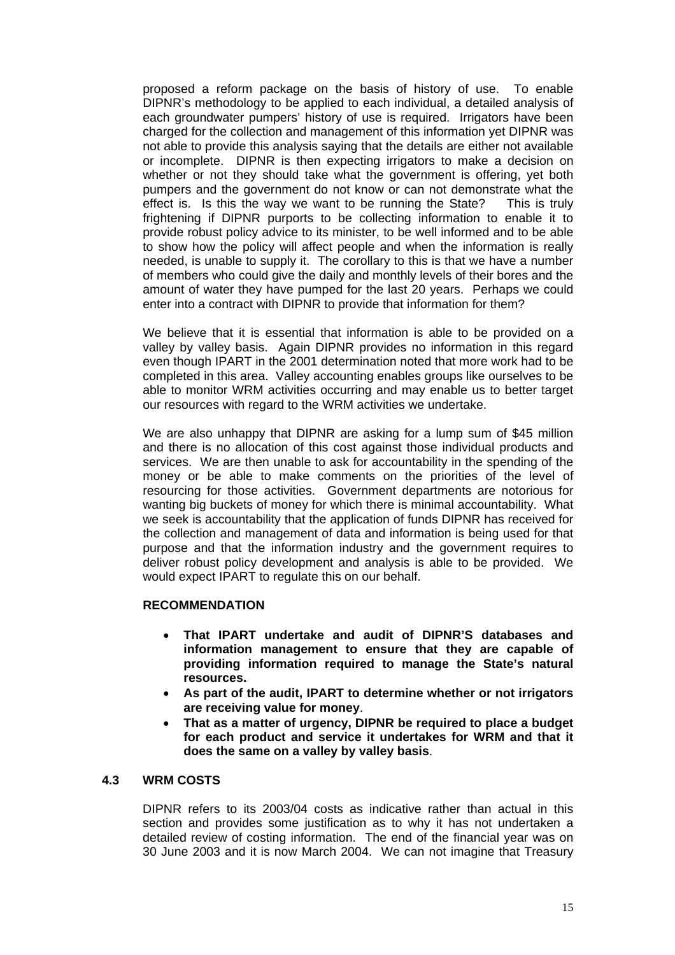proposed a reform package on the basis of history of use. To enable DIPNR's methodology to be applied to each individual, a detailed analysis of each groundwater pumpers' history of use is required. Irrigators have been charged for the collection and management of this information yet DIPNR was not able to provide this analysis saying that the details are either not available or incomplete. DIPNR is then expecting irrigators to make a decision on whether or not they should take what the government is offering, yet both pumpers and the government do not know or can not demonstrate what the effect is. Is this the way we want to be running the State? This is truly frightening if DIPNR purports to be collecting information to enable it to provide robust policy advice to its minister, to be well informed and to be able to show how the policy will affect people and when the information is really needed, is unable to supply it. The corollary to this is that we have a number of members who could give the daily and monthly levels of their bores and the amount of water they have pumped for the last 20 years. Perhaps we could enter into a contract with DIPNR to provide that information for them?

We believe that it is essential that information is able to be provided on a valley by valley basis. Again DIPNR provides no information in this regard even though IPART in the 2001 determination noted that more work had to be completed in this area. Valley accounting enables groups like ourselves to be able to monitor WRM activities occurring and may enable us to better target our resources with regard to the WRM activities we undertake.

We are also unhappy that DIPNR are asking for a lump sum of \$45 million and there is no allocation of this cost against those individual products and services. We are then unable to ask for accountability in the spending of the money or be able to make comments on the priorities of the level of resourcing for those activities. Government departments are notorious for wanting big buckets of money for which there is minimal accountability. What we seek is accountability that the application of funds DIPNR has received for the collection and management of data and information is being used for that purpose and that the information industry and the government requires to deliver robust policy development and analysis is able to be provided. We would expect IPART to regulate this on our behalf.

#### **RECOMMENDATION**

- **That IPART undertake and audit of DIPNR'S databases and information management to ensure that they are capable of providing information required to manage the State's natural resources.**
- **As part of the audit, IPART to determine whether or not irrigators are receiving value for money**.
- **That as a matter of urgency, DIPNR be required to place a budget for each product and service it undertakes for WRM and that it does the same on a valley by valley basis**.

# **4.3 WRM COSTS**

DIPNR refers to its 2003/04 costs as indicative rather than actual in this section and provides some justification as to why it has not undertaken a detailed review of costing information. The end of the financial year was on 30 June 2003 and it is now March 2004. We can not imagine that Treasury